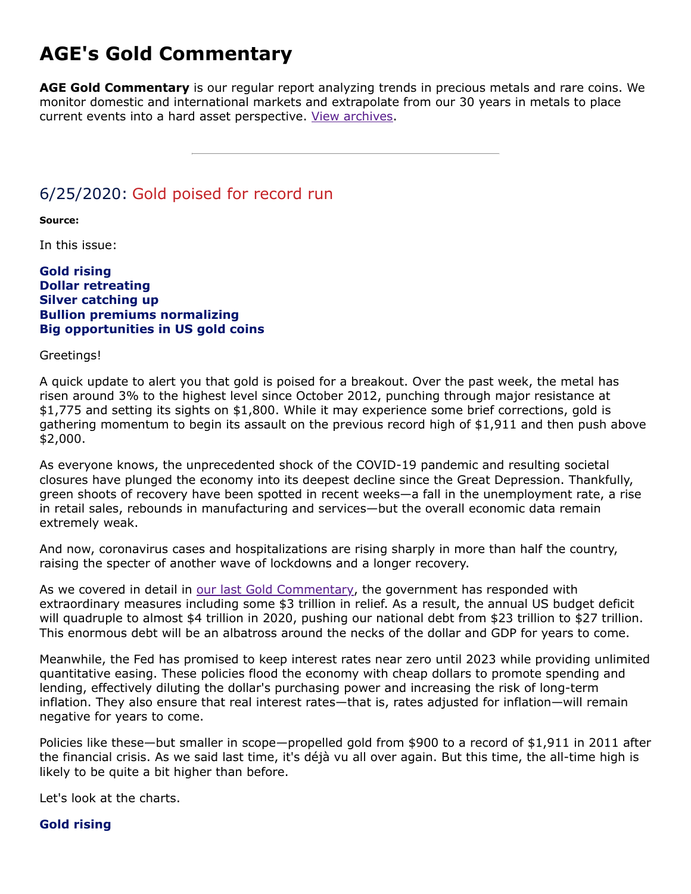# **AGE's Gold Commentary**

**AGE Gold Commentary** is our regular report analyzing trends in precious metals and rare coins. We monitor domestic and international markets and extrapolate from our 30 years in metals to place current events into a hard asset perspective. [View archives.](https://www.amergold.com/gold-news-info/gold-commentary-archives.php)

# 6/25/2020: Gold poised for record run

**Source:**

In this issue:

#### **Gold rising Dollar retreating Silver catching up Bullion premiums normalizing Big opportunities in US gold coins**

Greetings!

A quick update to alert you that gold is poised for a breakout. Over the past week, the metal has risen around 3% to the highest level since October 2012, punching through major resistance at \$1,775 and setting its sights on \$1,800. While it may experience some brief corrections, gold is gathering momentum to begin its assault on the previous record high of \$1,911 and then push above \$2,000.

As everyone knows, the unprecedented shock of the COVID-19 pandemic and resulting societal closures have plunged the economy into its deepest decline since the Great Depression. Thankfully, green shoots of recovery have been spotted in recent weeks—a fall in the unemployment rate, a rise in retail sales, rebounds in manufacturing and services—but the overall economic data remain extremely weak.

And now, coronavirus cases and hospitalizations are rising sharply in more than half the country, raising the specter of another wave of lockdowns and a longer recovery.

As we covered in detail in [our last Gold Commentary](https://www.amergold.com/gold-news-info/gold-commentary-view.php?art=119), the government has responded with extraordinary measures including some \$3 trillion in relief. As a result, the annual US budget deficit will quadruple to almost \$4 trillion in 2020, pushing our national debt from \$23 trillion to \$27 trillion. This enormous debt will be an albatross around the necks of the dollar and GDP for years to come.

Meanwhile, the Fed has promised to keep interest rates near zero until 2023 while providing unlimited quantitative easing. These policies flood the economy with cheap dollars to promote spending and lending, effectively diluting the dollar's purchasing power and increasing the risk of long-term inflation. They also ensure that real interest rates—that is, rates adjusted for inflation—will remain negative for years to come.

Policies like these—but smaller in scope—propelled gold from \$900 to a record of \$1,911 in 2011 after the financial crisis. As we said last time, it's déjà vu all over again. But this time, the all-time high is likely to be quite a bit higher than before.

Let's look at the charts.

#### **Gold rising**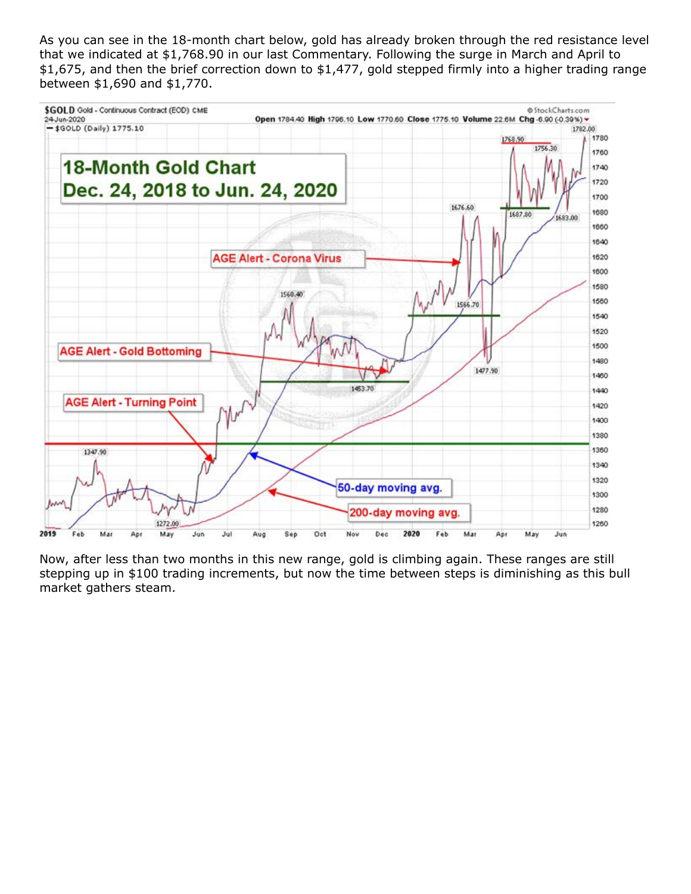As you can see in the 18-month chart below, gold has already broken through the red resistance level that we indicated at \$1,768.90 in our last Commentary. Following the surge in March and April to \$1,675, and then the brief correction down to \$1,477, gold stepped firmly into a higher trading range between \$1,690 and \$1,770.



Now, after less than two months in this new range, gold is climbing again. These ranges are still stepping up in \$100 trading increments, but now the time between steps is diminishing as this bull market gathers steam.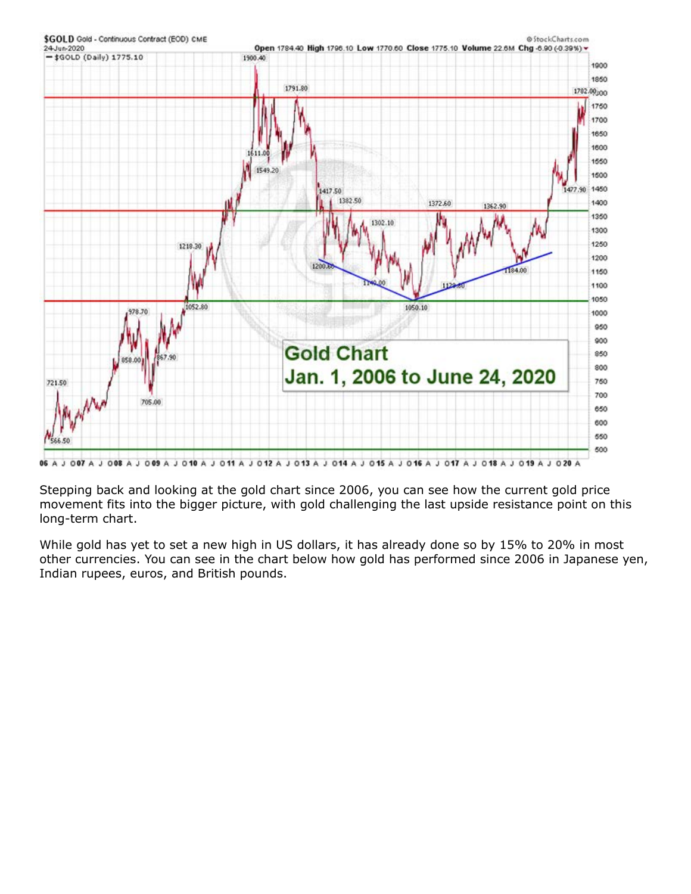

06 A J 007 A J 008 A J 009 A J 010 A J 011 A J 012 A J 013 A J 014 A J 015 A J 016 A J 017 A J 018 A J 019 A J 020 A

Stepping back and looking at the gold chart since 2006, you can see how the current gold price movement fits into the bigger picture, with gold challenging the last upside resistance point on this long-term chart.

While gold has yet to set a new high in US dollars, it has already done so by 15% to 20% in most other currencies. You can see in the chart below how gold has performed since 2006 in Japanese yen, Indian rupees, euros, and British pounds.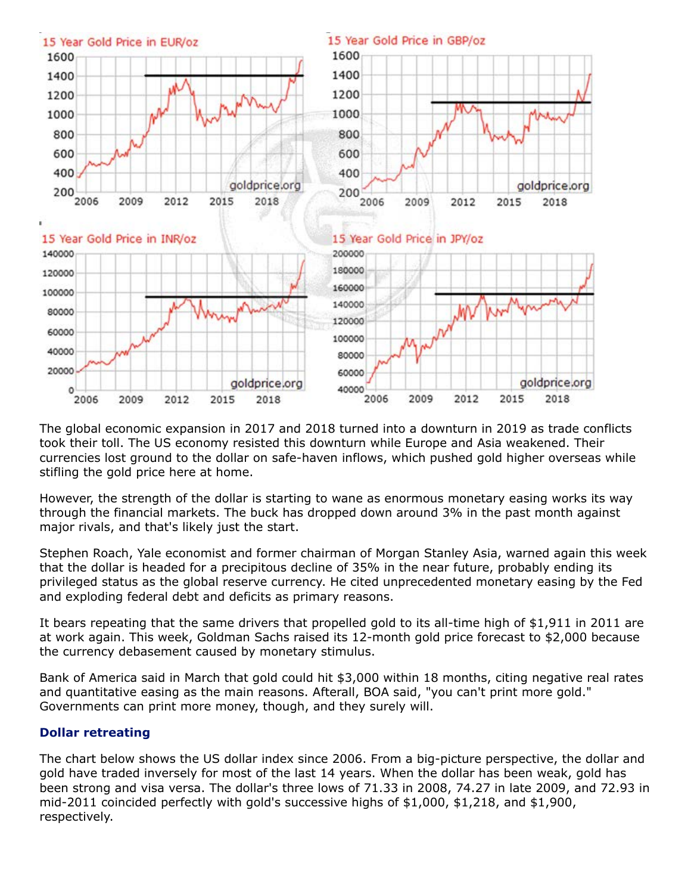

The global economic expansion in 2017 and 2018 turned into a downturn in 2019 as trade conflicts took their toll. The US economy resisted this downturn while Europe and Asia weakened. Their currencies lost ground to the dollar on safe-haven inflows, which pushed gold higher overseas while stifling the gold price here at home.

However, the strength of the dollar is starting to wane as enormous monetary easing works its way through the financial markets. The buck has dropped down around 3% in the past month against major rivals, and that's likely just the start.

Stephen Roach, Yale economist and former chairman of Morgan Stanley Asia, warned again this week that the dollar is headed for a precipitous decline of 35% in the near future, probably ending its privileged status as the global reserve currency. He cited unprecedented monetary easing by the Fed and exploding federal debt and deficits as primary reasons.

It bears repeating that the same drivers that propelled gold to its all-time high of \$1,911 in 2011 are at work again. This week, Goldman Sachs raised its 12-month gold price forecast to \$2,000 because the currency debasement caused by monetary stimulus.

Bank of America said in March that gold could hit \$3,000 within 18 months, citing negative real rates and quantitative easing as the main reasons. Afterall, BOA said, "you can't print more gold." Governments can print more money, though, and they surely will.

#### **Dollar retreating**

The chart below shows the US dollar index since 2006. From a big-picture perspective, the dollar and gold have traded inversely for most of the last 14 years. When the dollar has been weak, gold has been strong and visa versa. The dollar's three lows of 71.33 in 2008, 74.27 in late 2009, and 72.93 in mid-2011 coincided perfectly with gold's successive highs of \$1,000, \$1,218, and \$1,900, respectively.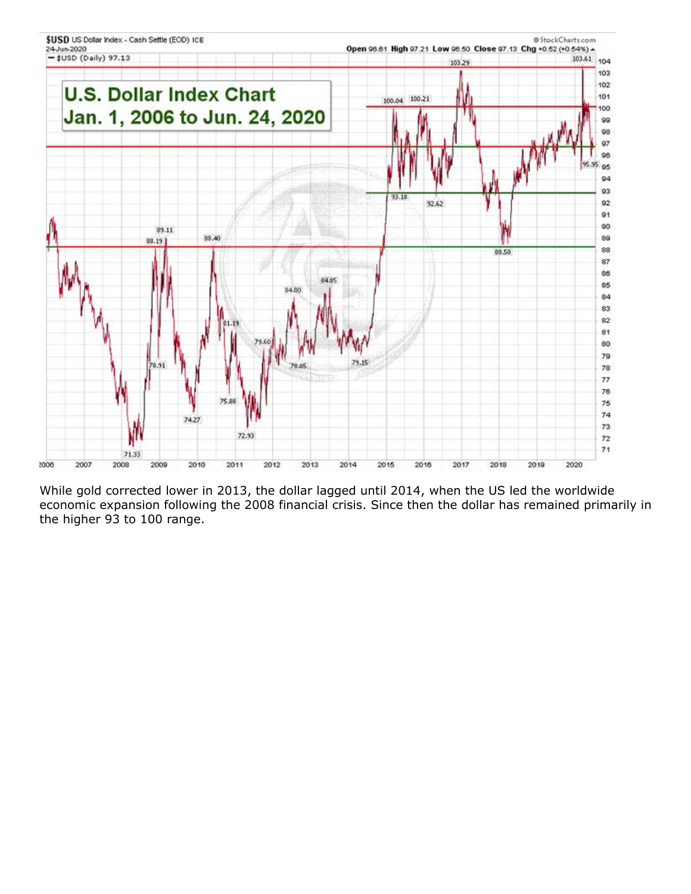

While gold corrected lower in 2013, the dollar lagged until 2014, when the US led the worldwide economic expansion following the 2008 financial crisis. Since then the dollar has remained primarily in the higher 93 to 100 range.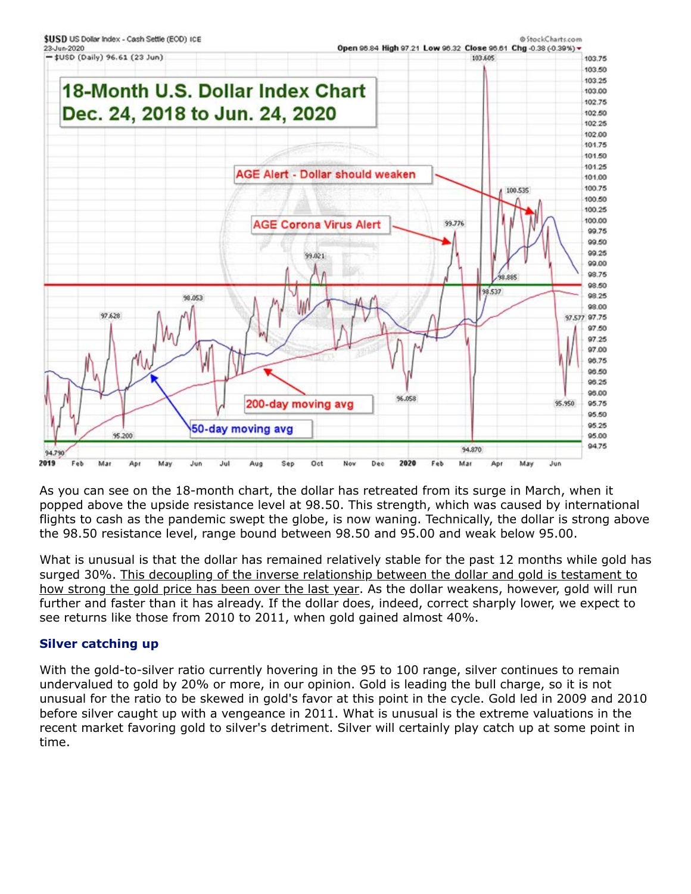

As you can see on the 18-month chart, the dollar has retreated from its surge in March, when it popped above the upside resistance level at 98.50. This strength, which was caused by international flights to cash as the pandemic swept the globe, is now waning. Technically, the dollar is strong above the 98.50 resistance level, range bound between 98.50 and 95.00 and weak below 95.00.

What is unusual is that the dollar has remained relatively stable for the past 12 months while gold has surged 30%. This decoupling of the inverse relationship between the dollar and gold is testament to how strong the gold price has been over the last year. As the dollar weakens, however, gold will run further and faster than it has already. If the dollar does, indeed, correct sharply lower, we expect to see returns like those from 2010 to 2011, when gold gained almost 40%.

## **Silver catching up**

With the gold-to-silver ratio currently hovering in the 95 to 100 range, silver continues to remain undervalued to gold by 20% or more, in our opinion. Gold is leading the bull charge, so it is not unusual for the ratio to be skewed in gold's favor at this point in the cycle. Gold led in 2009 and 2010 before silver caught up with a vengeance in 2011. What is unusual is the extreme valuations in the recent market favoring gold to silver's detriment. Silver will certainly play catch up at some point in time.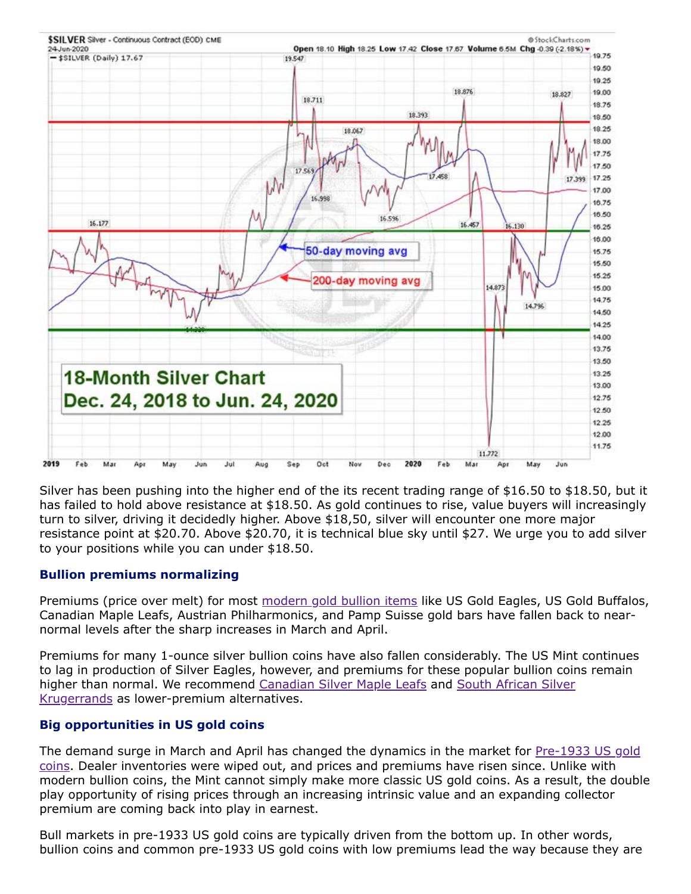

Silver has been pushing into the higher end of the its recent trading range of \$16.50 to \$18.50, but it has failed to hold above resistance at \$18.50. As gold continues to rise, value buyers will increasingly turn to silver, driving it decidedly higher. Above \$18,50, silver will encounter one more major resistance point at \$20.70. Above \$20.70, it is technical blue sky until \$27. We urge you to add silver to your positions while you can under \$18.50.

#### **Bullion premiums normalizing**

Premiums (price over melt) for most [modern gold bullion items](https://www.amergold.com/gold/gold-bullion/index.php) like US Gold Eagles, US Gold Buffalos, Canadian Maple Leafs, Austrian Philharmonics, and Pamp Suisse gold bars have fallen back to nearnormal levels after the sharp increases in March and April.

Premiums for many 1-ounce silver bullion coins have also fallen considerably. The US Mint continues to lag in production of Silver Eagles, however, and premiums for these popular bullion coins remain [higher than normal. We recommend C](https://www.amergold.com/silver/silver-bullion/south-african-silver-krugerrand-bu.php)[anadian Silver Maple Leafs](https://www.amergold.com/silver/silver-bullion/canada-silver-maple-leaf.php) [and South African Silver](https://www.amergold.com/silver/silver-bullion/south-african-silver-krugerrand-bu.php) Krugerrands as lower-premium alternatives.

## **Big opportunities in US gold coins**

[The demand surge in March and April has changed the dynamics in the market for Pre-1933 US gold](https://www.amergold.com/gold/pre-1933-u-s-gold-coins/index.php) coins. Dealer inventories were wiped out, and prices and premiums have risen since. Unlike with modern bullion coins, the Mint cannot simply make more classic US gold coins. As a result, the double play opportunity of rising prices through an increasing intrinsic value and an expanding collector premium are coming back into play in earnest.

Bull markets in pre-1933 US gold coins are typically driven from the bottom up. In other words, bullion coins and common pre-1933 US gold coins with low premiums lead the way because they are